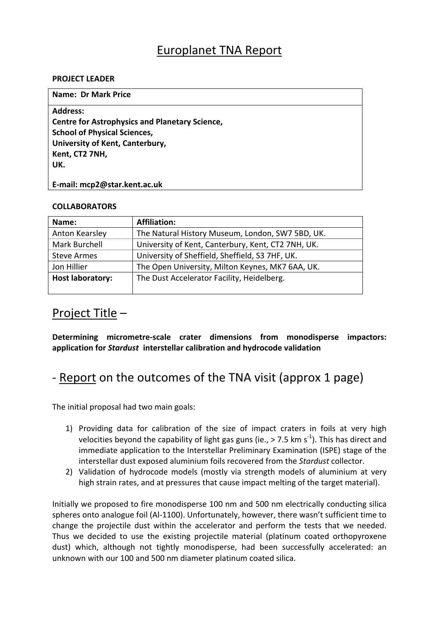## Europlanet TNA Report

#### **PROJECT LEADER**

| <b>Name: Dr Mark Price</b>                            |
|-------------------------------------------------------|
| <b>Address:</b>                                       |
| <b>Centre for Astrophysics and Planetary Science,</b> |
| <b>School of Physical Sciences,</b>                   |
| University of Kent, Canterbury,                       |
| Kent, CT2 7NH,                                        |
| UK.                                                   |
|                                                       |
| E-mail: mcp2@star.kent.ac.uk                          |

#### **COLLABORATORS**

| Name:                   | <b>Affiliation:</b>                                |
|-------------------------|----------------------------------------------------|
| Anton Kearsley          | The Natural History Museum, London, SW7 5BD, UK.   |
| Mark Burchell           | University of Kent, Canterbury, Kent, CT2 7NH, UK. |
| <b>Steve Armes</b>      | University of Sheffield, Sheffield, S3 7HF, UK.    |
| Jon Hillier             | The Open University, Milton Keynes, MK7 6AA, UK.   |
| <b>Host laboratory:</b> | The Dust Accelerator Facility, Heidelberg.         |

## Project Title –

**Determining micrometre‐scale crater dimensions from monodisperse impactors: application for** *Stardust* **interstellar calibration and hydrocode validation**

# ‐ Report on the outcomes of the TNA visit (approx 1 page)

The initial proposal had two main goals:

- 1) Providing data for calibration of the size of impact craters in foils at very high velocities beyond the capability of light gas guns (ie., > 7.5 km s<sup>-1</sup>). This has direct and immediate application to the Interstellar Preliminary Examination (ISPE) stage of the interstellar dust exposed aluminium foils recovered from the *Stardust* collector.
- 2) Validation of hydrocode models (mostly via strength models of aluminium at very high strain rates, and at pressures that cause impact melting of the target material).

Initially we proposed to fire monodisperse 100 nm and 500 nm electrically conducting silica spheres onto analogue foil (Al-1100). Unfortunately, however, there wasn't sufficient time to change the projectile dust within the accelerator and perform the tests that we needed. Thus we decided to use the existing projectile material (platinum coated orthopyroxene dust) which, although not tightly monodisperse, had been successfully accelerated: an unknown with our 100 and 500 nm diameter platinum coated silica.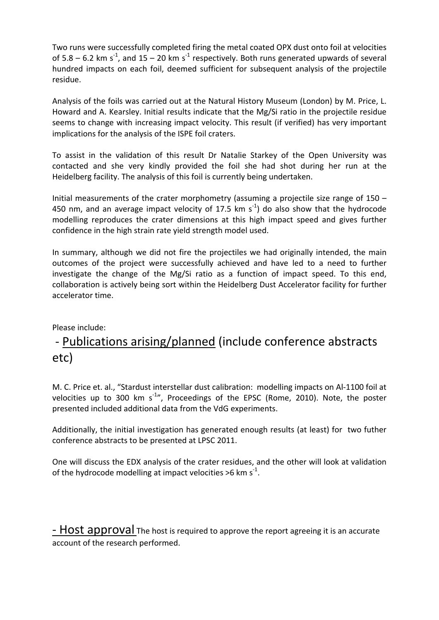Two runs were successfully completed firing the metal coated OPX dust onto foil at velocities of 5.8 – 6.2 km s<sup>-1</sup>, and 15 – 20 km s<sup>-1</sup> respectively. Both runs generated upwards of several hundred impacts on each foil, deemed sufficient for subsequent analysis of the projectile residue.

Analysis of the foils was carried out at the Natural History Museum (London) by M. Price, L. Howard and A. Kearsley. Initial results indicate that the Mg/Si ratio in the projectile residue seems to change with increasing impact velocity. This result (if verified) has very important implications for the analysis of the ISPE foil craters.

To assist in the validation of this result Dr Natalie Starkey of the Open University was contacted and she very kindly provided the foil she had shot during her run at the Heidelberg facility. The analysis of this foil is currently being undertaken.

Initial measurements of the crater morphometry (assuming a projectile size range of  $150 -$ 450 nm, and an average impact velocity of 17.5 km  $s^{-1}$ ) do also show that the hydrocode modelling reproduces the crater dimensions at this high impact speed and gives further confidence in the high strain rate yield strength model used.

In summary, although we did not fire the projectiles we had originally intended, the main outcomes of the project were successfully achieved and have led to a need to further investigate the change of the Mg/Si ratio as a function of impact speed. To this end, collaboration is actively being sort within the Heidelberg Dust Accelerator facility for further accelerator time.

Please include:

# ‐ Publications arising/planned (include conference abstracts etc)

M. C. Price et. al., "Stardust interstellar dust calibration: modelling impacts on Al‐1100 foil at velocities up to 300 km s<sup>-1</sup>", Proceedings of the EPSC (Rome, 2010). Note, the poster presented included additional data from the VdG experiments.

Additionally, the initial investigation has generated enough results (at least) for two futher conference abstracts to be presented at LPSC 2011.

One will discuss the EDX analysis of the crater residues, and the other will look at validation of the hydrocode modelling at impact velocities >6 km s<sup>-1</sup>.

- Host approval The host is required to approve the report agreeing it is an accurate account of the research performed.